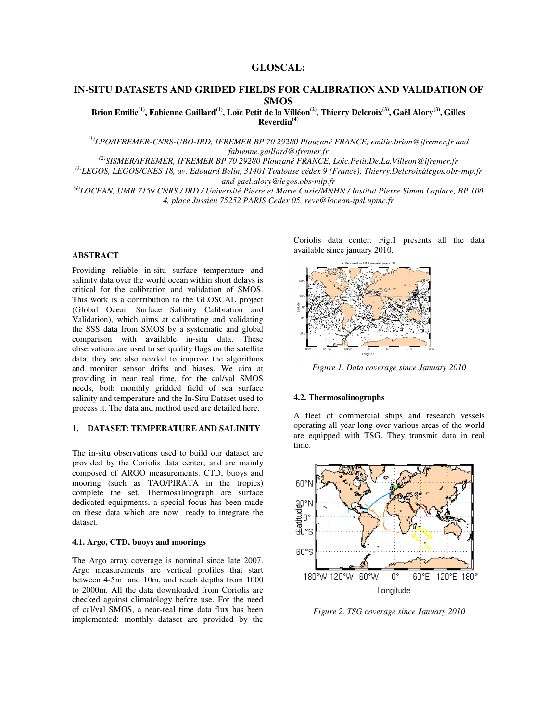## **GLOSCAL:**

# **IN-SITU DATASETS AND GRIDED FIELDS FOR CALIBRATION AND VALIDATION OF SMOS**

**Brion Emilie(1), Fabienne Gaillard(1), Loïc Petit de la Villéon(2), Thierry Delcroix(3), Gaël Alory(3), Gilles Reverdin(4)** 

*(1)LPO/IFREMER-CNRS-UBO-IRD, IFREMER BP 70 29280 Plouzané FRANCE, emilie.brion@ifremer.fr and fabienne.gaillard@ifremer.fr* 

*(2)SISMER/IFREMER, IFREMER BP 70 29280 Plouzané FRANCE, Loic.Petit.De.La.Villeon@ifremer.fr* 

*(3)LEGOS, LEGOS/CNES 18, av. Edouard Belin, 31401 Toulouse cédex 9 (France), Thierry.Delcroixàlegos.obs-mip.fr and gael.alory@legos.obs-mip.fr* 

*(4)LOCEAN, UMR 7159 CNRS / IRD / Université Pierre et Marie Curie/MNHN / Institut Pierre Simon Laplace, BP 100 4, place Jussieu 75252 PARIS Cedex 05, reve@locean-ipsl.upmc.fr* 

## **ABSTRACT**

Providing reliable in-situ surface temperature and salinity data over the world ocean within short delays is critical for the calibration and validation of SMOS. This work is a contribution to the GLOSCAL project (Global Ocean Surface Salinity Calibration and Validation), which aims at calibrating and validating the SSS data from SMOS by a systematic and global comparison with available in-situ data. These observations are used to set quality flags on the satellite data, they are also needed to improve the algorithms and monitor sensor drifts and biases. We aim at providing in near real time, for the cal/val SMOS needs, both monthly gridded field of sea surface salinity and temperature and the In-Situ Dataset used to process it. The data and method used are detailed here.

### 1. **DATASET: TEMPERATURE AND SALINITY**

The in-situ observations used to build our dataset are provided by the Coriolis data center, and are mainly composed of ARGO measurements. CTD, buoys and mooring (such as TAO/PIRATA in the tropics) complete the set. Thermosalinograph are surface dedicated equipments, a special focus has been made on these data which are now ready to integrate the dataset.

## **4.1. Argo, CTD, buoys and moorings**

The Argo array coverage is nominal since late 2007. Argo measurements are vertical profiles that start between 4-5m and 10m, and reach depths from 1000 to 2000m. All the data downloaded from Coriolis are checked against climatology before use. For the need of cal/val SMOS, a near-real time data flux has been implemented: monthly dataset are provided by the

Coriolis data center. Fig.1 presents all the data available since january 2010.



*Figure 1. Data coverage since January 2010* 

#### **4.2. Thermosalinographs**

A fleet of commercial ships and research vessels operating all year long over various areas of the world are equipped with TSG. They transmit data in real time.



*Figure 2. TSG coverage since January 2010*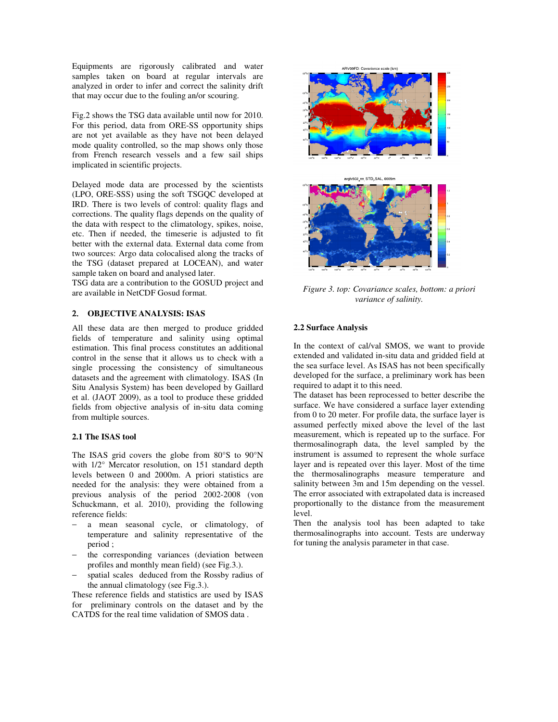Equipments are rigorously calibrated and water samples taken on board at regular intervals are analyzed in order to infer and correct the salinity drift that may occur due to the fouling an/or scouring.

Fig.2 shows the TSG data available until now for 2010. For this period, data from ORE-SS opportunity ships are not yet available as they have not been delayed mode quality controlled, so the map shows only those from French research vessels and a few sail ships implicated in scientific projects.

Delayed mode data are processed by the scientists (LPO, ORE-SSS) using the soft TSGQC developed at IRD. There is two levels of control: quality flags and corrections. The quality flags depends on the quality of the data with respect to the climatology, spikes, noise, etc. Then if needed, the timeserie is adjusted to fit better with the external data. External data come from two sources: Argo data colocalised along the tracks of the TSG (dataset prepared at LOCEAN), and water sample taken on board and analysed later.

TSG data are a contribution to the GOSUD project and are available in NetCDF Gosud format.

## 2. **OBJECTIVE ANALYSIS: ISAS**

All these data are then merged to produce gridded fields of temperature and salinity using optimal estimation. This final process constitutes an additional control in the sense that it allows us to check with a single processing the consistency of simultaneous datasets and the agreement with climatology. ISAS (In Situ Analysis System) has been developed by Gaillard et al. (JAOT 2009), as a tool to produce these gridded fields from objective analysis of in-situ data coming from multiple sources.

## **2.1 The ISAS tool**

The ISAS grid covers the globe from 80°S to 90°N with 1/2° Mercator resolution, on 151 standard depth levels between 0 and 2000m. A priori statistics are needed for the analysis: they were obtained from a previous analysis of the period 2002-2008 (von Schuckmann, et al. 2010), providing the following reference fields:

- a mean seasonal cycle, or climatology, of temperature and salinity representative of the period ;
- the corresponding variances (deviation between profiles and monthly mean field) (see Fig.3.).
- − spatial scales deduced from the Rossby radius of the annual climatology (see Fig.3.).

These reference fields and statistics are used by ISAS for preliminary controls on the dataset and by the CATDS for the real time validation of SMOS data .



*Figure 3. top: Covariance scales, bottom: a priori variance of salinity.* 

### **2.2 Surface Analysis**

In the context of cal/val SMOS, we want to provide extended and validated in-situ data and gridded field at the sea surface level. As ISAS has not been specifically developed for the surface, a preliminary work has been required to adapt it to this need.

The dataset has been reprocessed to better describe the surface. We have considered a surface layer extending from 0 to 20 meter. For profile data, the surface layer is assumed perfectly mixed above the level of the last measurement, which is repeated up to the surface. For thermosalinograph data, the level sampled by the instrument is assumed to represent the whole surface layer and is repeated over this layer. Most of the time the thermosalinographs measure temperature and salinity between 3m and 15m depending on the vessel. The error associated with extrapolated data is increased proportionally to the distance from the measurement level.

Then the analysis tool has been adapted to take thermosalinographs into account. Tests are underway for tuning the analysis parameter in that case.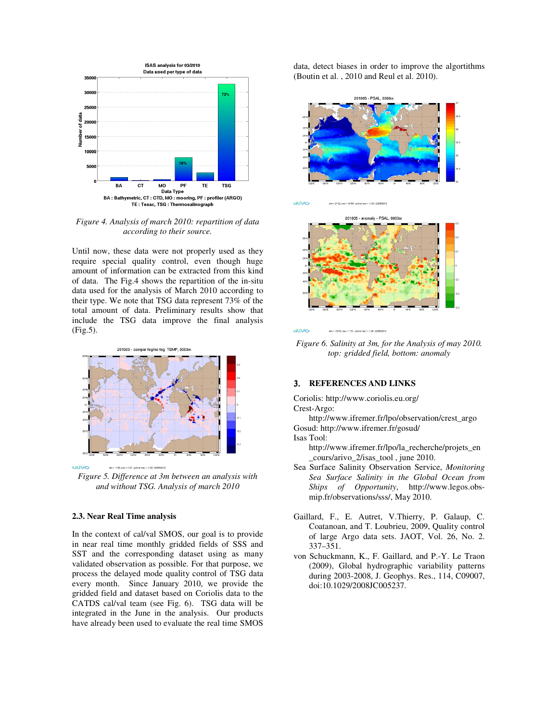

*Figure 4. Analysis of march 2010: repartition of data according to their source.* 

Until now, these data were not properly used as they require special quality control, even though huge amount of information can be extracted from this kind of data. The Fig.4 shows the repartition of the in-situ data used for the analysis of March 2010 according to their type. We note that TSG data represent 73% of the total amount of data. Preliminary results show that include the TSG data improve the final analysis (Fig.5).



min = -1.59, max = 1.07 - petvar max = -1.00 -25/05/2 *Figure 5. Difference at 3m between an analysis with and without TSG. Analysis of march 2010* 

### **2.3. Near Real Time analysis**

In the context of cal/val SMOS, our goal is to provide in near real time monthly gridded fields of SSS and SST and the corresponding dataset using as many validated observation as possible. For that purpose, we process the delayed mode quality control of TSG data every month. Since January 2010, we provide the gridded field and dataset based on Coriolis data to the CATDS cal/val team (see Fig. 6). TSG data will be integrated in the June in the analysis. Our products have already been used to evaluate the real time SMOS data, detect biases in order to improve the algortithms (Boutin et al. , 2010 and Reul et al. 2010).



201005 - anomaly - PSAL, 0003m

min = 21.62, max = 40.59 - potvar max = -1.00 -22/06/2010



**ARIVO** min = -18.03, max = 1.72 - pctvar max = -1.00 -22.08.2010

kRIVO

*Figure 6. Salinity at 3m, for the Analysis of may 2010. top: gridded field, bottom: anomaly* 

### 3. **REFERENCES AND LINKS**

Coriolis: http://www.coriolis.eu.org/ Crest-Argo:

http://www.ifremer.fr/lpo/observation/crest\_argo Gosud: http://www.ifremer.fr/gosud/ Isas Tool:

- http://www.ifremer.fr/lpo/la\_recherche/projets\_en \_cours/arivo\_2/isas\_tool , june 2010.
- Sea Surface Salinity Observation Service, *Monitoring Sea Surface Salinity in the Global Ocean from Ships of Opportunity*, http://www.legos.obsmip.fr/observations/sss/, May 2010.
- Gaillard, F., E. Autret, V.Thierry, P. Galaup, C. Coatanoan, and T. Loubrieu, 2009, Quality control of large Argo data sets. JAOT, Vol. 26, No. 2. 337–351.
- von Schuckmann, K., F. Gaillard, and P.-Y. Le Traon (2009), Global hydrographic variability patterns during 2003-2008, J. Geophys. Res., 114, C09007, doi:10.1029/2008JC005237.